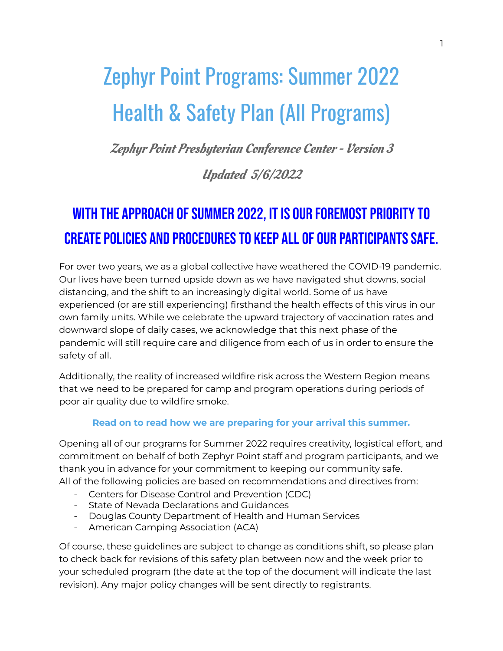# Zephyr Point Programs: Summer 2022 Health & Safety Plan (All Programs)

Zephyr Point Presbyterian Conference Center - Version 3

### Updated 5/6/2022

# WITH THE APPROACH OF SUMMER 2022, IT IS OUR FOREMOST PRIORITY TO CREATE POLICIES AND PROCEDURES TO KEEP ALL OF OUR PARTICIPANTS SAFE.

For over two years, we as a global collective have weathered the COVID-19 pandemic. Our lives have been turned upside down as we have navigated shut downs, social distancing, and the shift to an increasingly digital world. Some of us have experienced (or are still experiencing) firsthand the health effects of this virus in our own family units. While we celebrate the upward trajectory of vaccination rates and downward slope of daily cases, we acknowledge that this next phase of the pandemic will still require care and diligence from each of us in order to ensure the safety of all.

Additionally, the reality of increased wildfire risk across the Western Region means that we need to be prepared for camp and program operations during periods of poor air quality due to wildfire smoke.

#### **Read on to read how we are preparing for your arrival this summer.**

Opening all of our programs for Summer 2022 requires creativity, logistical effort, and commitment on behalf of both Zephyr Point staff and program participants, and we thank you in advance for your commitment to keeping our community safe. All of the following policies are based on recommendations and directives from:

- Centers for Disease Control and Prevention (CDC)
- State of Nevada Declarations and Guidances
- Douglas County Department of Health and Human Services
- American Camping Association (ACA)

Of course, these guidelines are subject to change as conditions shift, so please plan to check back for revisions of this safety plan between now and the week prior to your scheduled program (the date at the top of the document will indicate the last revision). Any major policy changes will be sent directly to registrants.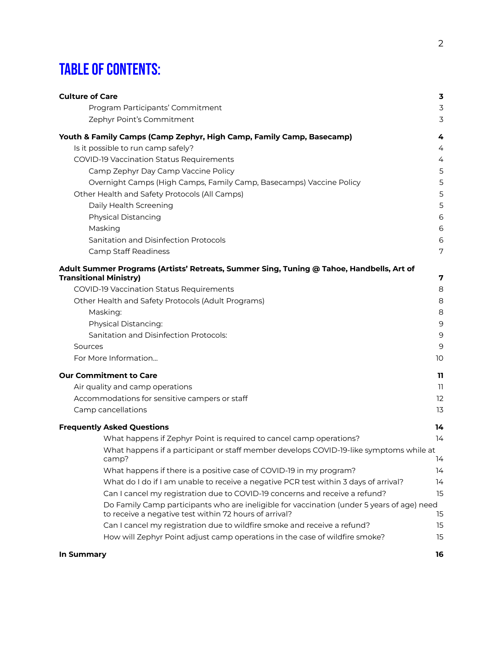# **TABLE OF CONTENTS:**

| <b>Culture of Care</b>                                                                                                                               | 3              |
|------------------------------------------------------------------------------------------------------------------------------------------------------|----------------|
| Program Participants' Commitment                                                                                                                     | $\overline{3}$ |
| Zephyr Point's Commitment                                                                                                                            | 3              |
| Youth & Family Camps (Camp Zephyr, High Camp, Family Camp, Basecamp)                                                                                 | 4              |
| Is it possible to run camp safely?                                                                                                                   | 4              |
| COVID-19 Vaccination Status Requirements                                                                                                             | 4              |
| Camp Zephyr Day Camp Vaccine Policy                                                                                                                  | 5              |
| Overnight Camps (High Camps, Family Camp, Basecamps) Vaccine Policy                                                                                  | 5              |
| Other Health and Safety Protocols (All Camps)                                                                                                        | 5              |
| Daily Health Screening                                                                                                                               | 5              |
| <b>Physical Distancing</b>                                                                                                                           | 6              |
| Masking                                                                                                                                              | 6              |
| Sanitation and Disinfection Protocols                                                                                                                | 6              |
| <b>Camp Staff Readiness</b>                                                                                                                          | 7              |
| Adult Summer Programs (Artists' Retreats, Summer Sing, Tuning @ Tahoe, Handbells, Art of                                                             |                |
| <b>Transitional Ministry)</b>                                                                                                                        | 7              |
| COVID-19 Vaccination Status Requirements                                                                                                             | 8              |
| Other Health and Safety Protocols (Adult Programs)                                                                                                   | 8              |
| Masking:                                                                                                                                             | 8              |
| <b>Physical Distancing:</b>                                                                                                                          | 9              |
| Sanitation and Disinfection Protocols:                                                                                                               | 9              |
| Sources                                                                                                                                              | 9              |
| For More Information                                                                                                                                 | 10             |
| <b>Our Commitment to Care</b>                                                                                                                        | 11             |
| Air quality and camp operations                                                                                                                      | 11             |
| Accommodations for sensitive campers or staff                                                                                                        | 12             |
| Camp cancellations                                                                                                                                   | 13             |
| <b>Frequently Asked Questions</b>                                                                                                                    | 14             |
| What happens if Zephyr Point is required to cancel camp operations?                                                                                  | 14             |
| What happens if a participant or staff member develops COVID-19-like symptoms while at<br>camp?                                                      | 14             |
| What happens if there is a positive case of COVID-19 in my program?                                                                                  | 14             |
| What do I do if I am unable to receive a negative PCR test within 3 days of arrival?                                                                 | 14             |
| Can I cancel my registration due to COVID-19 concerns and receive a refund?                                                                          | 15             |
| Do Family Camp participants who are ineligible for vaccination (under 5 years of age) need<br>to receive a negative test within 72 hours of arrival? | 15             |
| Can I cancel my registration due to wildfire smoke and receive a refund?                                                                             | 15             |
| How will Zephyr Point adjust camp operations in the case of wildfire smoke?                                                                          | 15             |
| In Summary                                                                                                                                           | 16             |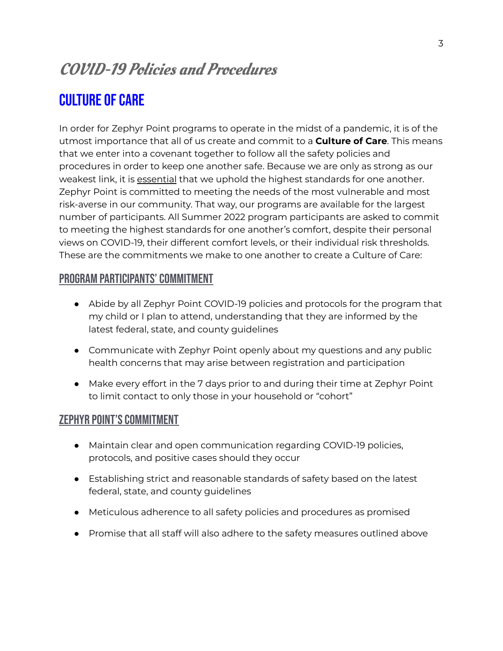# COVID-19 Policies and Procedures

# <span id="page-2-0"></span>**CULTURE OF CARE**

In order for Zephyr Point programs to operate in the midst of a pandemic, it is of the utmost importance that all of us create and commit to a **Culture of Care**. This means that we enter into a covenant together to follow all the safety policies and procedures in order to keep one another safe. Because we are only as strong as our weakest link, it is essential that we uphold the highest standards for one another. Zephyr Point is committed to meeting the needs of the most vulnerable and most risk-averse in our community. That way, our programs are available for the largest number of participants. All Summer 2022 program participants are asked to commit to meeting the highest standards for one another's comfort, despite their personal views on COVID-19, their different comfort levels, or their individual risk thresholds. These are the commitments we make to one another to create a Culture of Care:

#### <span id="page-2-1"></span>PROGRAM PARTICIPANTS' COMMITMENT

- Abide by all Zephyr Point COVID-19 policies and protocols for the program that my child or I plan to attend, understanding that they are informed by the latest federal, state, and county guidelines
- Communicate with Zephyr Point openly about my questions and any public health concerns that may arise between registration and participation
- Make every effort in the 7 days prior to and during their time at Zephyr Point to limit contact to only those in your household or "cohort"

#### <span id="page-2-2"></span>ZEPHYR POINT'S COMMITMENT

- Maintain clear and open communication regarding COVID-19 policies, protocols, and positive cases should they occur
- Establishing strict and reasonable standards of safety based on the latest federal, state, and county guidelines
- Meticulous adherence to all safety policies and procedures as promised
- Promise that all staff will also adhere to the safety measures outlined above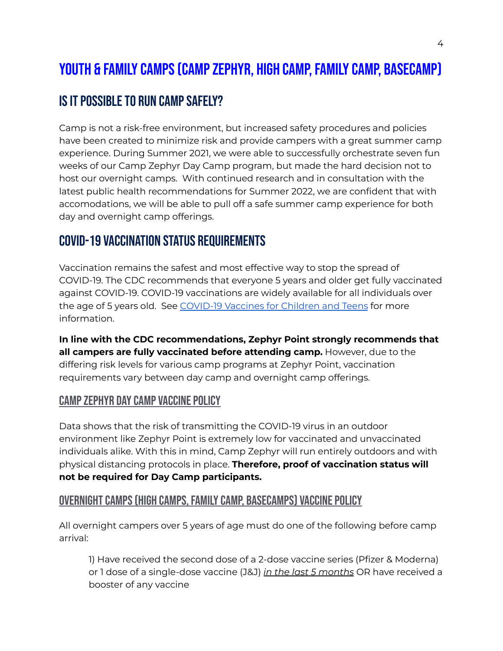# <span id="page-3-0"></span>YOUTH & FAMILY CAMPS (CAMP ZEPHYR, HIGH CAMP, FAMILY CAMP, BASECAMP)

# <span id="page-3-1"></span>IS IT POSSIBLE TO RUN CAMP SAFELY?

Camp is not a risk-free environment, but increased safety procedures and policies have been created to minimize risk and provide campers with a great summer camp experience. During Summer 2021, we were able to successfully orchestrate seven fun weeks of our Camp Zephyr Day Camp program, but made the hard decision not to host our overnight camps. With continued research and in consultation with the latest public health recommendations for Summer 2022, we are confident that with accomodations, we will be able to pull off a safe summer camp experience for both day and overnight camp offerings.

### <span id="page-3-2"></span>COVID-19 Vaccination Status Requirements

Vaccination remains the safest and most effective way to stop the spread of COVID-19. The CDC recommends that everyone 5 years and older get fully vaccinated against COVID-19. COVID-19 vaccinations are widely available for all individuals over the age of 5 years old. See [COVID-19](https://www.cdc.gov/coronavirus/2019-ncov/vaccines/recommendations/children-teens.html) Vaccines for Children and Teens for more information.

**In line with the CDC recommendations, Zephyr Point strongly recommends that all campers are fully vaccinated before attending camp.** However, due to the differing risk levels for various camp programs at Zephyr Point, vaccination requirements vary between day camp and overnight camp offerings.

#### <span id="page-3-3"></span>CAMP ZEPHYR DAY CAMP VACCINE POLICY

Data shows that the risk of transmitting the COVID-19 virus in an outdoor environment like Zephyr Point is extremely low for vaccinated and unvaccinated individuals alike. With this in mind, Camp Zephyr will run entirely outdoors and with physical distancing protocols in place. **Therefore, proof of vaccination status will not be required for Day Camp participants.**

#### <span id="page-3-4"></span>OVERNIGHT CAMPS (HIGH CAMPS, FAMILY CAMP, BASECAMPS) VACCINE POLICY

All overnight campers over 5 years of age must do one of the following before camp arrival:

1) Have received the second dose of a 2-dose vaccine series (Pfizer & Moderna) or 1 dose of a single-dose vaccine (J&J) *in the last 5 months* OR have received a booster of any vaccine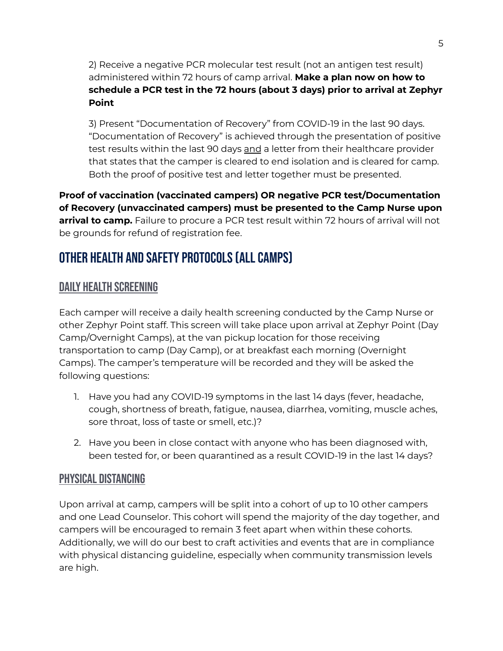2) Receive a negative PCR molecular test result (not an antigen test result) administered within 72 hours of camp arrival. **Make a plan now on how to schedule a PCR test in the 72 hours (about 3 days) prior to arrival at Zephyr Point**

3) Present "Documentation of Recovery" from COVID-19 in the last 90 days. "Documentation of Recovery" is achieved through the presentation of positive test results within the last 90 days and a letter from their healthcare provider that states that the camper is cleared to end isolation and is cleared for camp. Both the proof of positive test and letter together must be presented.

**Proof of vaccination (vaccinated campers) OR negative PCR test/Documentation of Recovery (unvaccinated campers) must be presented to the Camp Nurse upon arrival to camp.** Failure to procure a PCR test result within 72 hours of arrival will not be grounds for refund of registration fee.

# <span id="page-4-0"></span>OTHER HEALTH AND SAFETY PROTOCOLS (ALL CAMPS)

#### <span id="page-4-1"></span>Daily Health Screening

Each camper will receive a daily health screening conducted by the Camp Nurse or other Zephyr Point staff. This screen will take place upon arrival at Zephyr Point (Day Camp/Overnight Camps), at the van pickup location for those receiving transportation to camp (Day Camp), or at breakfast each morning (Overnight Camps). The camper's temperature will be recorded and they will be asked the following questions:

- 1. Have you had any COVID-19 symptoms in the last 14 days (fever, headache, cough, shortness of breath, fatigue, nausea, diarrhea, vomiting, muscle aches, sore throat, loss of taste or smell, etc.)?
- 2. Have you been in close contact with anyone who has been diagnosed with, been tested for, or been quarantined as a result COVID-19 in the last 14 days?

#### <span id="page-4-2"></span>Physical Distancing

Upon arrival at camp, campers will be split into a cohort of up to 10 other campers and one Lead Counselor. This cohort will spend the majority of the day together, and campers will be encouraged to remain 3 feet apart when within these cohorts. Additionally, we will do our best to craft activities and events that are in compliance with physical distancing guideline, especially when community transmission levels are high.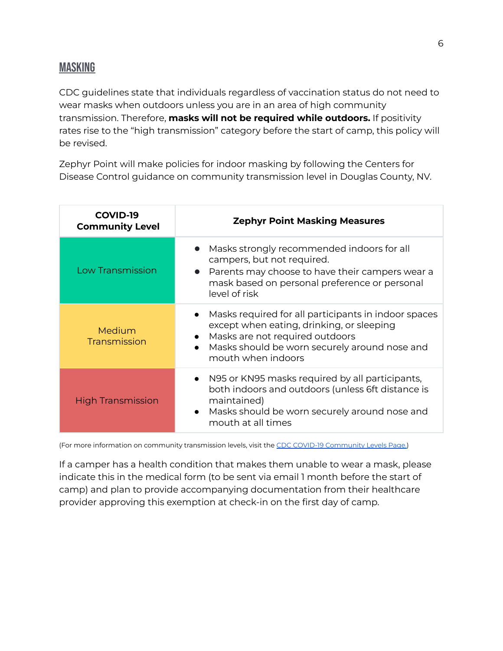<span id="page-5-0"></span>CDC guidelines state that individuals regardless of vaccination status do not need to wear masks when outdoors unless you are in an area of high community transmission. Therefore, **masks will not be required while outdoors.** If positivity rates rise to the "high transmission" category before the start of camp, this policy will be revised.

Zephyr Point will make policies for indoor masking by following the Centers for Disease Control guidance on community transmission level in Douglas County, NV.

| <b>COVID-19</b><br><b>Community Level</b> | <b>Zephyr Point Masking Measures</b>                                                                                                                                                                                       |  |  |
|-------------------------------------------|----------------------------------------------------------------------------------------------------------------------------------------------------------------------------------------------------------------------------|--|--|
| <b>Low Transmission</b>                   | Masks strongly recommended indoors for all<br>campers, but not required.<br>• Parents may choose to have their campers wear a<br>mask based on personal preference or personal<br>level of risk                            |  |  |
| Medium<br>Transmission                    | Masks required for all participants in indoor spaces<br>except when eating, drinking, or sleeping<br>• Masks are not required outdoors<br>Masks should be worn securely around nose and<br>$\bullet$<br>mouth when indoors |  |  |
| <b>High Transmission</b>                  | • N95 or KN95 masks required by all participants,<br>both indoors and outdoors (unless 6ft distance is<br>maintained)<br>Masks should be worn securely around nose and<br>mouth at all times                               |  |  |

(For more information on community transmission levels, visit the CDC COVID-19 [Community](https://www.cdc.gov/coronavirus/2019-ncov/science/community-levels.html) Levels Page.)

If a camper has a health condition that makes them unable to wear a mask, please indicate this in the medical form (to be sent via email 1 month before the start of camp) and plan to provide accompanying documentation from their healthcare provider approving this exemption at check-in on the first day of camp.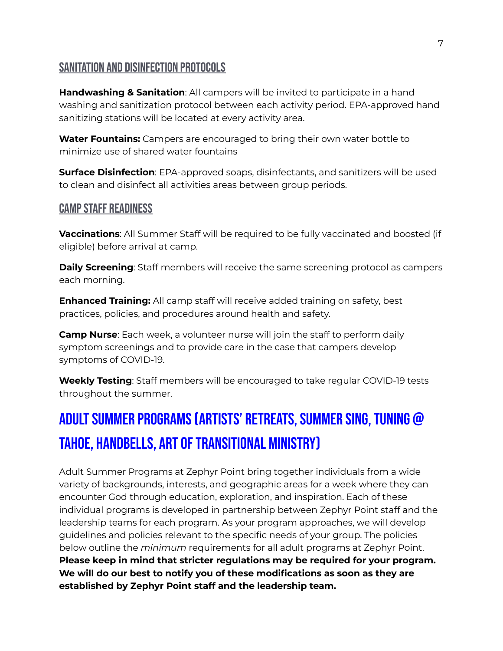#### <span id="page-6-0"></span>SANITATION AND DISINFECTION PROTOCOLS

**Handwashing & Sanitation**: All campers will be invited to participate in a hand washing and sanitization protocol between each activity period. EPA-approved hand sanitizing stations will be located at every activity area.

**Water Fountains:** Campers are encouraged to bring their own water bottle to minimize use of shared water fountains

**Surface Disinfection**: EPA-approved soaps, disinfectants, and sanitizers will be used to clean and disinfect all activities areas between group periods.

#### <span id="page-6-1"></span>**CAMP STAFF READINESS**

**Vaccinations**: All Summer Staff will be required to be fully vaccinated and boosted (if eligible) before arrival at camp.

**Daily Screening**: Staff members will receive the same screening protocol as campers each morning.

**Enhanced Training:** All camp staff will receive added training on safety, best practices, policies, and procedures around health and safety.

**Camp Nurse**: Each week, a volunteer nurse will join the staff to perform daily symptom screenings and to provide care in the case that campers develop symptoms of COVID-19.

**Weekly Testing**: Staff members will be encouraged to take regular COVID-19 tests throughout the summer.

# <span id="page-6-2"></span>ADULT SUMMER PROGRAMS (ARTISTS' RETREATS, SUMMER SING, TUNING @ TAHOE, HANDBELLS, ART OF TRANSITIONAL MINISTRY)

Adult Summer Programs at Zephyr Point bring together individuals from a wide variety of backgrounds, interests, and geographic areas for a week where they can encounter God through education, exploration, and inspiration. Each of these individual programs is developed in partnership between Zephyr Point staff and the leadership teams for each program. As your program approaches, we will develop guidelines and policies relevant to the specific needs of your group. The policies below outline the *minimum* requirements for all adult programs at Zephyr Point. **Please keep in mind that stricter regulations may be required for your program. We will do our best to notify you of these modifications as soon as they are established by Zephyr Point staff and the leadership team.**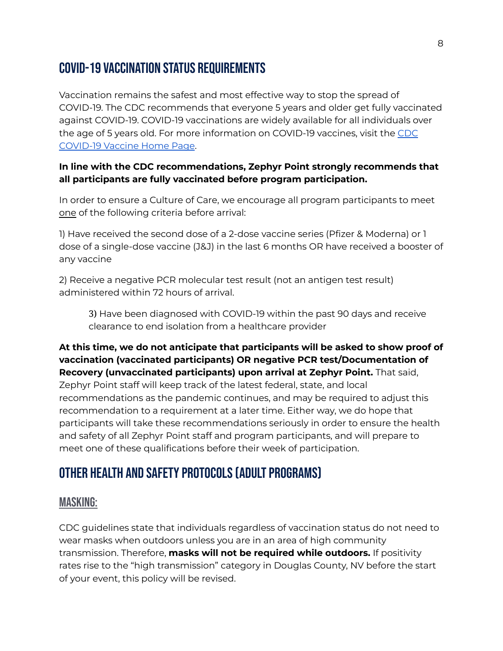### <span id="page-7-0"></span>COVID-19 Vaccination Status Requirements

Vaccination remains the safest and most effective way to stop the spread of COVID-19. The CDC recommends that everyone 5 years and older get fully vaccinated against COVID-19. COVID-19 vaccinations are widely available for all individuals over the age of 5 years old. For more information on COVID-19 vaccines, visit the [CDC](https://www.cdc.gov/coronavirus/2019-ncov/vaccines/index.html) [COVID-19](https://www.cdc.gov/coronavirus/2019-ncov/vaccines/index.html) Vaccine Home Page.

#### **In line with the CDC recommendations, Zephyr Point strongly recommends that all participants are fully vaccinated before program participation.**

In order to ensure a Culture of Care, we encourage all program participants to meet one of the following criteria before arrival:

1) Have received the second dose of a 2-dose vaccine series (Pfizer & Moderna) or 1 dose of a single-dose vaccine (J&J) in the last 6 months OR have received a booster of any vaccine

2) Receive a negative PCR molecular test result (not an antigen test result) administered within 72 hours of arrival.

3) Have been diagnosed with COVID-19 within the past 90 days and receive clearance to end isolation from a healthcare provider

#### **At this time, we do not anticipate that participants will be asked to show proof of vaccination (vaccinated participants) OR negative PCR test/Documentation of Recovery (unvaccinated participants) upon arrival at Zephyr Point.** That said,

Zephyr Point staff will keep track of the latest federal, state, and local recommendations as the pandemic continues, and may be required to adjust this recommendation to a requirement at a later time. Either way, we do hope that participants will take these recommendations seriously in order to ensure the health and safety of all Zephyr Point staff and program participants, and will prepare to meet one of these qualifications before their week of participation.

# <span id="page-7-1"></span>OTHER HEALTH AND SAFETY PROTOCOLS (ADULT PROGRAMS)

#### <span id="page-7-2"></span>Masking:

CDC guidelines state that individuals regardless of vaccination status do not need to wear masks when outdoors unless you are in an area of high community transmission. Therefore, **masks will not be required while outdoors.** If positivity rates rise to the "high transmission" category in Douglas County, NV before the start of your event, this policy will be revised.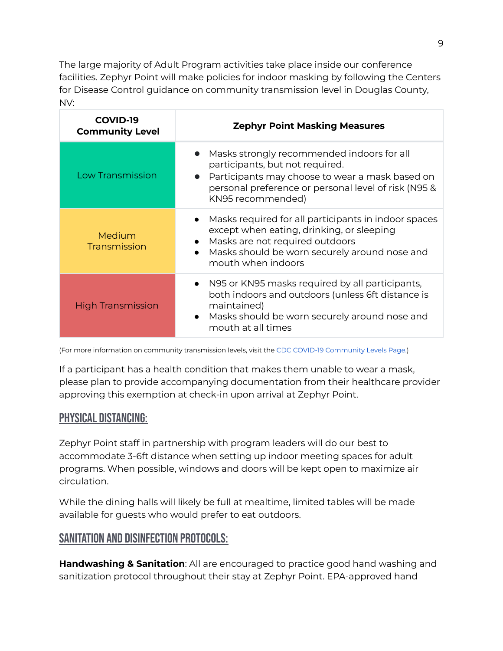The large majority of Adult Program activities take place inside our conference facilities. Zephyr Point will make policies for indoor masking by following the Centers for Disease Control guidance on community transmission level in Douglas County, NV:

| <b>COVID-19</b><br><b>Community Level</b> | <b>Zephyr Point Masking Measures</b>                                                                                                                                                                            |
|-------------------------------------------|-----------------------------------------------------------------------------------------------------------------------------------------------------------------------------------------------------------------|
| Low Transmission                          | • Masks strongly recommended indoors for all<br>participants, but not required.<br>Participants may choose to wear a mask based on<br>personal preference or personal level of risk (N95 &<br>KN95 recommended) |
| Medium<br>Transmission                    | Masks required for all participants in indoor spaces<br>except when eating, drinking, or sleeping<br>• Masks are not required outdoors<br>Masks should be worn securely around nose and<br>mouth when indoors   |
| <b>High Transmission</b>                  | • N95 or KN95 masks required by all participants,<br>both indoors and outdoors (unless 6ft distance is<br>maintained)<br>• Masks should be worn securely around nose and<br>mouth at all times                  |

(For more information on community transmission levels, visit the CDC COVID-19 [Community](https://www.cdc.gov/coronavirus/2019-ncov/science/community-levels.html) Levels Page.)

If a participant has a health condition that makes them unable to wear a mask, please plan to provide accompanying documentation from their healthcare provider approving this exemption at check-in upon arrival at Zephyr Point.

#### <span id="page-8-0"></span>Physical Distancing:

Zephyr Point staff in partnership with program leaders will do our best to accommodate 3-6ft distance when setting up indoor meeting spaces for adult programs. When possible, windows and doors will be kept open to maximize air circulation.

While the dining halls will likely be full at mealtime, limited tables will be made available for guests who would prefer to eat outdoors.

#### <span id="page-8-1"></span>Sanitation and Disinfection Protocols:

**Handwashing & Sanitation**: All are encouraged to practice good hand washing and sanitization protocol throughout their stay at Zephyr Point. EPA-approved hand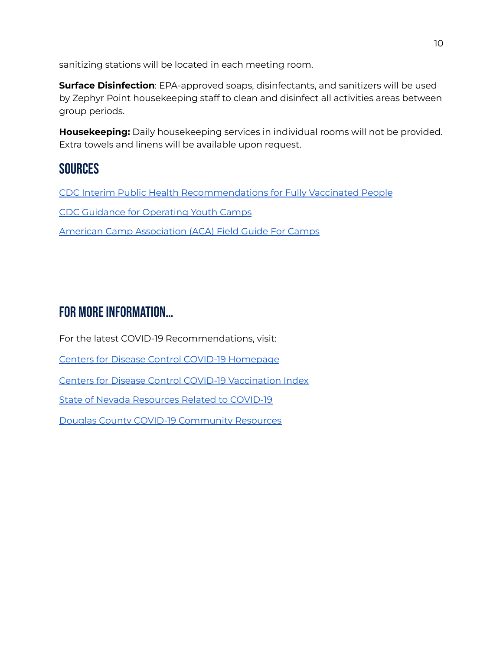sanitizing stations will be located in each meeting room.

**Surface Disinfection**: EPA-approved soaps, disinfectants, and sanitizers will be used by Zephyr Point housekeeping staff to clean and disinfect all activities areas between group periods.

**Housekeeping:** Daily housekeeping services in individual rooms will not be provided. Extra towels and linens will be available upon request.

### <span id="page-9-0"></span>**SOURCES**

CDC Interim Public Health [Recommendations](https://www.cdc.gov/coronavirus/2019-ncov/vaccines/fully-vaccinated-guidance.html) for Fully Vaccinated People CDC Guidance for [Operating](https://www.cdc.gov/coronavirus/2019-ncov/community/schools-childcare/summer-camps.html) Youth Camps American Camp [Association](https://www.acacamps.org/resource-library/coronavirus/camp-business/field-guide-camps) (ACA) Field Guide For Camps

# <span id="page-9-1"></span>FOR MORE INFORMATION...

For the latest COVID-19 Recommendations, visit: Centers for Disease Control COVID-19 [Homepage](https://www.cdc.gov/coronavirus/2019-ncov/your-health/about-covid-19.html) Centers for Disease Control COVID-19 [Vaccination](https://www.cdc.gov/coronavirus/2019-ncov/vaccines/index.html) Index State of Nevada [Resources](https://doe.nv.gov/home/COVID_Resources/) Related to COVID-19 Douglas County COVID-19 [Community](https://www.douglascountynv.gov/government/departments/emergency_management/community_resources_due_to_c_o_v_i_d-19) Resources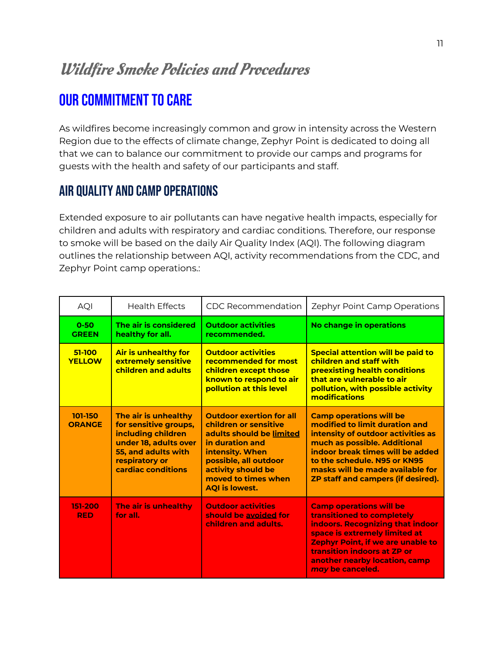# Wildfire Smoke Policies and Procedures

# <span id="page-10-0"></span>**OUR COMMITMENT TO CARE**

As wildfires become increasingly common and grow in intensity across the Western Region due to the effects of climate change, Zephyr Point is dedicated to doing all that we can to balance our commitment to provide our camps and programs for guests with the health and safety of our participants and staff.

### <span id="page-10-1"></span>Air quality and camp operations

Extended exposure to air pollutants can have negative health impacts, especially for children and adults with respiratory and cardiac conditions. Therefore, our response to smoke will be based on the daily Air Quality Index (AQI). The following diagram outlines the relationship between AQI, activity recommendations from the CDC, and Zephyr Point camp operations.:

| <b>AQI</b>               | <b>Health Effects</b>                                                                                                                                       | CDC Recommendation                                                                                                                                                                                                        | Zephyr Point Camp Operations                                                                                                                                                                                                                                                                |
|--------------------------|-------------------------------------------------------------------------------------------------------------------------------------------------------------|---------------------------------------------------------------------------------------------------------------------------------------------------------------------------------------------------------------------------|---------------------------------------------------------------------------------------------------------------------------------------------------------------------------------------------------------------------------------------------------------------------------------------------|
| $0 - 50$<br><b>GREEN</b> | The air is considered<br>healthy for all.                                                                                                                   | <b>Outdoor activities</b><br>recommended.                                                                                                                                                                                 | No change in operations                                                                                                                                                                                                                                                                     |
| 51-100<br><b>YELLOW</b>  | Air is unhealthy for<br>extremely sensitive<br>children and adults                                                                                          | <b>Outdoor activities</b><br><b>recommended for most</b><br>children except those<br>known to respond to air<br>pollution at this level                                                                                   | <b>Special attention will be paid to</b><br>children and staff with<br><b>preexisting health conditions</b><br>that are vulnerable to air<br>pollution, with possible activity<br>modifications                                                                                             |
| 101-150<br><b>ORANGE</b> | The air is unhealthy<br>for sensitive groups,<br>including children<br>under 18, adults over<br>55, and adults with<br>respiratory or<br>cardiac conditions | <b>Outdoor exertion for all</b><br>children or sensitive<br>adults should be limited<br>in duration and<br>intensity. When<br>possible, all outdoor<br>activity should be<br>moved to times when<br><b>AQI</b> is lowest. | <b>Camp operations will be</b><br>modified to limit duration and<br>intensity of outdoor activities as<br>much as possible. Additional<br>indoor break times will be added<br>to the schedule. N95 or KN95<br>masks will be made available for<br><b>ZP staff and campers (if desired).</b> |
| 151-200<br><b>RED</b>    | The air is unhealthy<br>for all.                                                                                                                            | <b>Outdoor activities</b><br>should be avoided for<br>children and adults.                                                                                                                                                | <b>Camp operations will be</b><br>transitioned to completely<br>indoors. Recognizing that indoor<br>space is extremely limited at<br>Zephyr Point, if we are unable to<br><b>transition indoors at ZP or</b><br>another nearby location, camp<br>may be canceled.                           |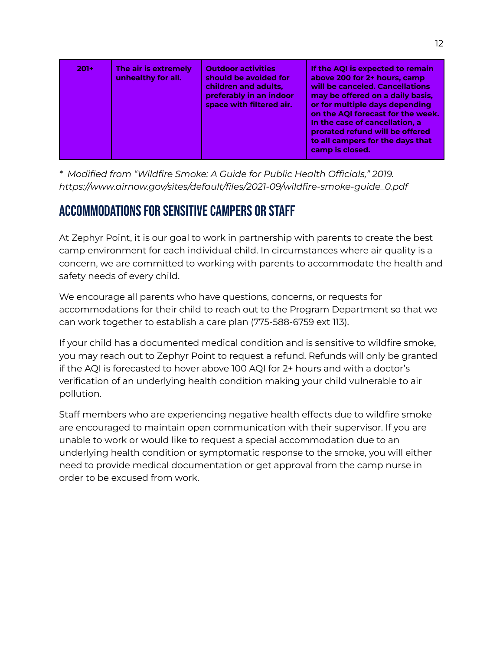| $201+$ | The air is extremely<br>unhealthy for all. | <b>Outdoor activities</b><br>should be avoided for<br>children and adults,<br>preferably in an indoor<br>space with filtered air. | If the AQI is expected to remain<br>above 200 for 2+ hours, camp<br>will be canceled. Cancellations<br>may be offered on a daily basis,<br>or for multiple days depending<br>on the AQI forecast for the week.<br>In the case of cancellation, a<br>prorated refund will be offered<br>to all campers for the days that<br>camp is closed. |
|--------|--------------------------------------------|-----------------------------------------------------------------------------------------------------------------------------------|--------------------------------------------------------------------------------------------------------------------------------------------------------------------------------------------------------------------------------------------------------------------------------------------------------------------------------------------|
|--------|--------------------------------------------|-----------------------------------------------------------------------------------------------------------------------------------|--------------------------------------------------------------------------------------------------------------------------------------------------------------------------------------------------------------------------------------------------------------------------------------------------------------------------------------------|

*\* Modified from "Wildfire Smoke: A Guide for Public Health Officials," 2019. https:/ www.airnow.gov/sites/default/files/2021-09/wildfire-smoke-guide\_0.pdf*

### <span id="page-11-0"></span>ACCOMMODATIONS FOR SENSITIVE CAMPERS OR STAFF

At Zephyr Point, it is our goal to work in partnership with parents to create the best camp environment for each individual child. In circumstances where air quality is a concern, we are committed to working with parents to accommodate the health and safety needs of every child.

We encourage all parents who have questions, concerns, or requests for accommodations for their child to reach out to the Program Department so that we can work together to establish a care plan (775-588-6759 ext 113).

If your child has a documented medical condition and is sensitive to wildfire smoke, you may reach out to Zephyr Point to request a refund. Refunds will only be granted if the AQI is forecasted to hover above 100 AQI for 2+ hours and with a doctor's verification of an underlying health condition making your child vulnerable to air pollution.

Staff members who are experiencing negative health effects due to wildfire smoke are encouraged to maintain open communication with their supervisor. If you are unable to work or would like to request a special accommodation due to an underlying health condition or symptomatic response to the smoke, you will either need to provide medical documentation or get approval from the camp nurse in order to be excused from work.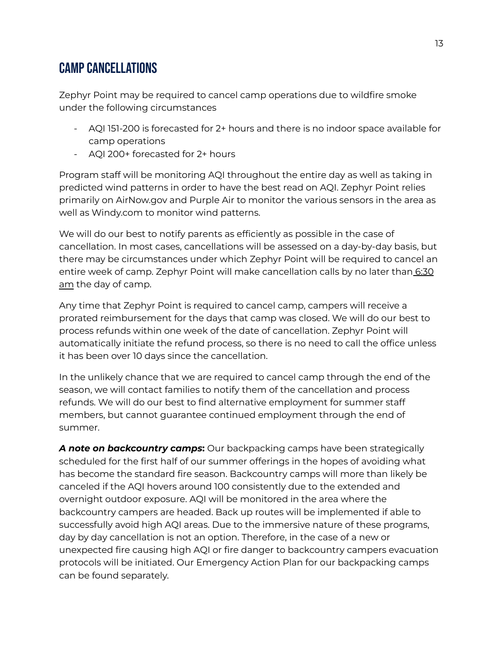### <span id="page-12-0"></span>Campcancellations

Zephyr Point may be required to cancel camp operations due to wildfire smoke under the following circumstances

- AQI 151-200 is forecasted for 2+ hours and there is no indoor space available for camp operations
- AQI 200+ forecasted for 2+ hours

Program staff will be monitoring AQI throughout the entire day as well as taking in predicted wind patterns in order to have the best read on AQI. Zephyr Point relies primarily on AirNow.gov and Purple Air to monitor the various sensors in the area as well as Windy.com to monitor wind patterns.

We will do our best to notify parents as efficiently as possible in the case of cancellation. In most cases, cancellations will be assessed on a day-by-day basis, but there may be circumstances under which Zephyr Point will be required to cancel an entire week of camp. Zephyr Point will make cancellation calls by no later than 6:30 am the day of camp.

Any time that Zephyr Point is required to cancel camp, campers will receive a prorated reimbursement for the days that camp was closed. We will do our best to process refunds within one week of the date of cancellation. Zephyr Point will automatically initiate the refund process, so there is no need to call the office unless it has been over 10 days since the cancellation.

In the unlikely chance that we are required to cancel camp through the end of the season, we will contact families to notify them of the cancellation and process refunds. We will do our best to find alternative employment for summer staff members, but cannot guarantee continued employment through the end of summer.

*A note on backcountry camps***:** Our backpacking camps have been strategically scheduled for the first half of our summer offerings in the hopes of avoiding what has become the standard fire season. Backcountry camps will more than likely be canceled if the AQI hovers around 100 consistently due to the extended and overnight outdoor exposure. AQI will be monitored in the area where the backcountry campers are headed. Back up routes will be implemented if able to successfully avoid high AQI areas. Due to the immersive nature of these programs, day by day cancellation is not an option. Therefore, in the case of a new or unexpected fire causing high AQI or fire danger to backcountry campers evacuation protocols will be initiated. Our Emergency Action Plan for our backpacking camps can be found separately.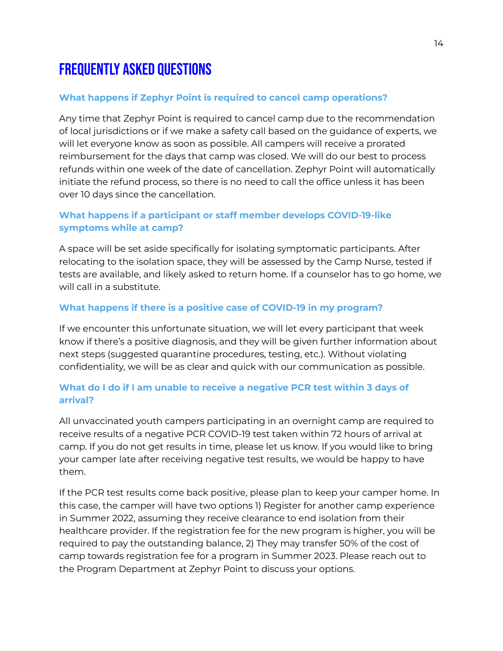# <span id="page-13-0"></span>Frequently Asked Questions

#### <span id="page-13-1"></span>**What happens if Zephyr Point is required to cancel camp operations?**

Any time that Zephyr Point is required to cancel camp due to the recommendation of local jurisdictions or if we make a safety call based on the guidance of experts, we will let everyone know as soon as possible. All campers will receive a prorated reimbursement for the days that camp was closed. We will do our best to process refunds within one week of the date of cancellation. Zephyr Point will automatically initiate the refund process, so there is no need to call the office unless it has been over 10 days since the cancellation.

#### <span id="page-13-2"></span>**What happens if a participant or staff member develops COVID-19-like symptoms while at camp?**

A space will be set aside specifically for isolating symptomatic participants. After relocating to the isolation space, they will be assessed by the Camp Nurse, tested if tests are available, and likely asked to return home. If a counselor has to go home, we will call in a substitute.

#### <span id="page-13-3"></span>**What happens if there is a positive case of COVID-19 in my program?**

If we encounter this unfortunate situation, we will let every participant that week know if there's a positive diagnosis, and they will be given further information about next steps (suggested quarantine procedures, testing, etc.). Without violating confidentiality, we will be as clear and quick with our communication as possible.

#### <span id="page-13-4"></span>**What do I do if I am unable to receive a negative PCR test within 3 days of arrival?**

All unvaccinated youth campers participating in an overnight camp are required to receive results of a negative PCR COVID-19 test taken within 72 hours of arrival at camp. If you do not get results in time, please let us know. If you would like to bring your camper late after receiving negative test results, we would be happy to have them.

If the PCR test results come back positive, please plan to keep your camper home. In this case, the camper will have two options 1) Register for another camp experience in Summer 2022, assuming they receive clearance to end isolation from their healthcare provider. If the registration fee for the new program is higher, you will be required to pay the outstanding balance, 2) They may transfer 50% of the cost of camp towards registration fee for a program in Summer 2023. Please reach out to the Program Department at Zephyr Point to discuss your options.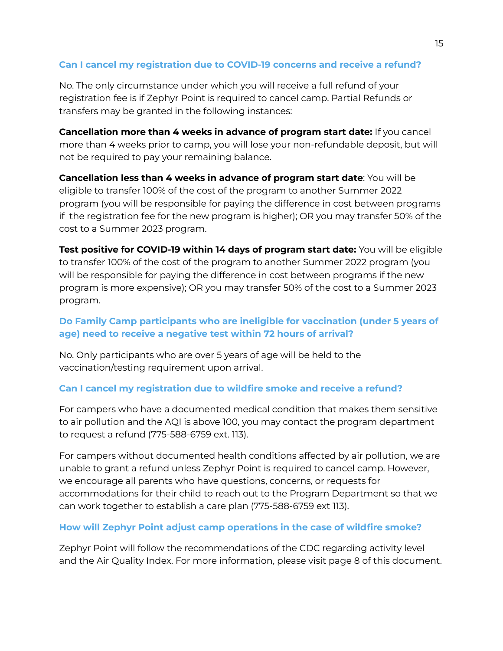#### <span id="page-14-0"></span>**Can I cancel my registration due to COVID-19 concerns and receive a refund?**

No. The only circumstance under which you will receive a full refund of your registration fee is if Zephyr Point is required to cancel camp. Partial Refunds or transfers may be granted in the following instances:

**Cancellation more than 4 weeks in advance of program start date:** If you cancel more than 4 weeks prior to camp, you will lose your non-refundable deposit, but will not be required to pay your remaining balance.

**Cancellation less than 4 weeks in advance of program start date**: You will be eligible to transfer 100% of the cost of the program to another Summer 2022 program (you will be responsible for paying the difference in cost between programs if the registration fee for the new program is higher); OR you may transfer 50% of the cost to a Summer 2023 program.

**Test positive for COVID-19 within 14 days of program start date:** You will be eligible to transfer 100% of the cost of the program to another Summer 2022 program (you will be responsible for paying the difference in cost between programs if the new program is more expensive); OR you may transfer 50% of the cost to a Summer 2023 program.

#### <span id="page-14-1"></span>**Do Family Camp participants who are ineligible for vaccination (under 5 years of age) need to receive a negative test within 72 hours of arrival?**

No. Only participants who are over 5 years of age will be held to the vaccination/testing requirement upon arrival.

#### <span id="page-14-2"></span>**Can I cancel my registration due to wildfire smoke and receive a refund?**

For campers who have a documented medical condition that makes them sensitive to air pollution and the AQI is above 100, you may contact the program department to request a refund (775-588-6759 ext. 113).

For campers without documented health conditions affected by air pollution, we are unable to grant a refund unless Zephyr Point is required to cancel camp. However, we encourage all parents who have questions, concerns, or requests for accommodations for their child to reach out to the Program Department so that we can work together to establish a care plan (775-588-6759 ext 113).

#### <span id="page-14-3"></span>**How will Zephyr Point adjust camp operations in the case of wildfire smoke?**

Zephyr Point will follow the recommendations of the CDC regarding activity level and the Air Quality Index. For more information, please visit page 8 of this document.